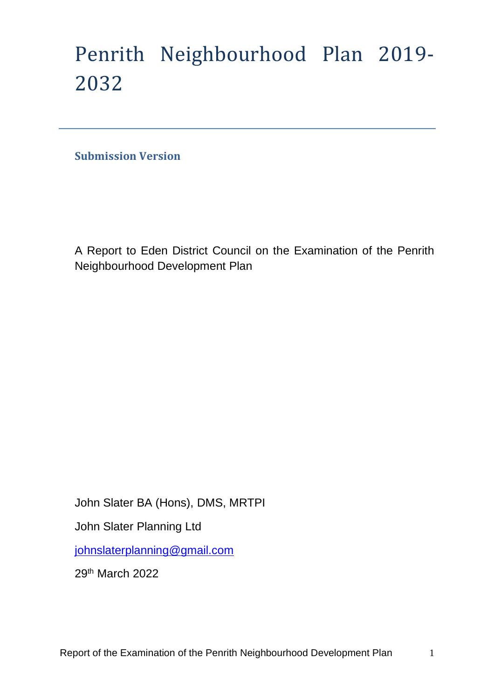# Penrith Neighbourhood Plan 2019- 2032

**Submission Version** 

A Report to Eden District Council on the Examination of the Penrith Neighbourhood Development Plan

John Slater BA (Hons), DMS, MRTPI John Slater Planning Ltd [johnslaterplanning@gmail.com](mailto:johnslaterplanning@gmail.com) 29th March 2022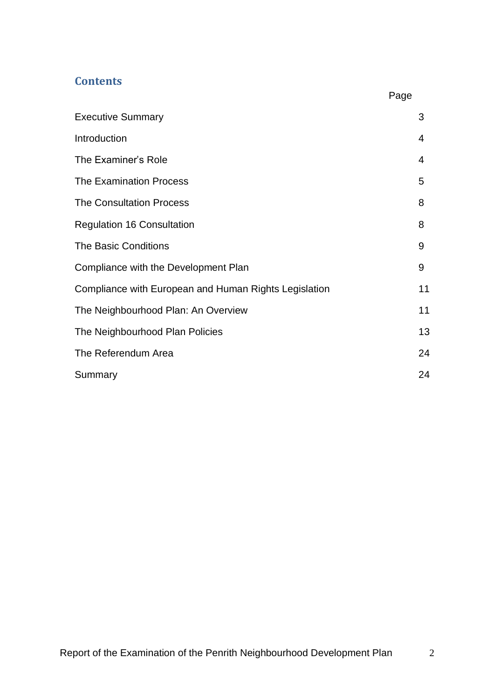# **Contents**

|                                                       | Page |
|-------------------------------------------------------|------|
| <b>Executive Summary</b>                              | 3    |
| Introduction                                          | 4    |
| The Examiner's Role                                   | 4    |
| <b>The Examination Process</b>                        | 5    |
| <b>The Consultation Process</b>                       | 8    |
| <b>Regulation 16 Consultation</b>                     | 8    |
| <b>The Basic Conditions</b>                           | 9    |
| Compliance with the Development Plan                  | 9    |
| Compliance with European and Human Rights Legislation | 11   |
| The Neighbourhood Plan: An Overview                   | 11   |
| The Neighbourhood Plan Policies                       | 13   |
| The Referendum Area                                   | 24   |
| Summary                                               | 24   |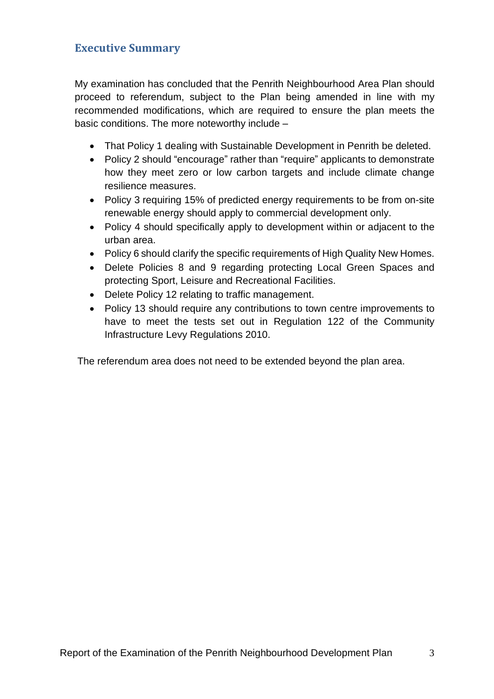# **Executive Summary**

My examination has concluded that the Penrith Neighbourhood Area Plan should proceed to referendum, subject to the Plan being amended in line with my recommended modifications, which are required to ensure the plan meets the basic conditions. The more noteworthy include –

- That Policy 1 dealing with Sustainable Development in Penrith be deleted.
- Policy 2 should "encourage" rather than "require" applicants to demonstrate how they meet zero or low carbon targets and include climate change resilience measures.
- Policy 3 requiring 15% of predicted energy requirements to be from on-site renewable energy should apply to commercial development only.
- Policy 4 should specifically apply to development within or adjacent to the urban area.
- Policy 6 should clarify the specific requirements of High Quality New Homes.
- Delete Policies 8 and 9 regarding protecting Local Green Spaces and protecting Sport, Leisure and Recreational Facilities.
- Delete Policy 12 relating to traffic management.
- Policy 13 should require any contributions to town centre improvements to have to meet the tests set out in Regulation 122 of the Community Infrastructure Levy Regulations 2010.

The referendum area does not need to be extended beyond the plan area.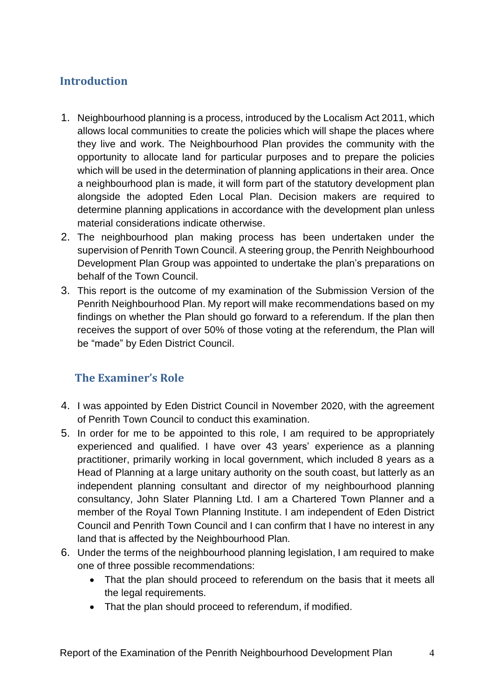# **Introduction**

- 1. Neighbourhood planning is a process, introduced by the Localism Act 2011, which allows local communities to create the policies which will shape the places where they live and work. The Neighbourhood Plan provides the community with the opportunity to allocate land for particular purposes and to prepare the policies which will be used in the determination of planning applications in their area. Once a neighbourhood plan is made, it will form part of the statutory development plan alongside the adopted Eden Local Plan. Decision makers are required to determine planning applications in accordance with the development plan unless material considerations indicate otherwise.
- 2. The neighbourhood plan making process has been undertaken under the supervision of Penrith Town Council. A steering group, the Penrith Neighbourhood Development Plan Group was appointed to undertake the plan's preparations on behalf of the Town Council.
- 3. This report is the outcome of my examination of the Submission Version of the Penrith Neighbourhood Plan. My report will make recommendations based on my findings on whether the Plan should go forward to a referendum. If the plan then receives the support of over 50% of those voting at the referendum, the Plan will be "made" by Eden District Council.

# **The Examiner's Role**

- 4. I was appointed by Eden District Council in November 2020, with the agreement of Penrith Town Council to conduct this examination.
- 5. In order for me to be appointed to this role, I am required to be appropriately experienced and qualified. I have over 43 years' experience as a planning practitioner, primarily working in local government, which included 8 years as a Head of Planning at a large unitary authority on the south coast, but latterly as an independent planning consultant and director of my neighbourhood planning consultancy, John Slater Planning Ltd. I am a Chartered Town Planner and a member of the Royal Town Planning Institute. I am independent of Eden District Council and Penrith Town Council and I can confirm that I have no interest in any land that is affected by the Neighbourhood Plan.
- 6. Under the terms of the neighbourhood planning legislation, I am required to make one of three possible recommendations:
	- That the plan should proceed to referendum on the basis that it meets all the legal requirements.
	- That the plan should proceed to referendum, if modified.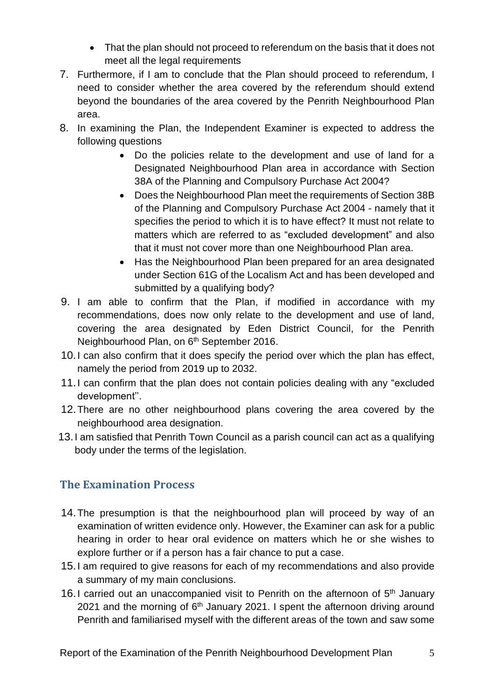- That the plan should not proceed to referendum on the basis that it does not meet all the legal requirements
- 7. Furthermore, if I am to conclude that the Plan should proceed to referendum, I need to consider whether the area covered by the referendum should extend beyond the boundaries of the area covered by the Penrith Neighbourhood Plan area.
- 8. In examining the Plan, the Independent Examiner is expected to address the following questions
	- Do the policies relate to the development and use of land for a Designated Neighbourhood Plan area in accordance with Section 38A of the Planning and Compulsory Purchase Act 2004?
	- Does the Neighbourhood Plan meet the requirements of Section 38B of the Planning and Compulsory Purchase Act 2004 - namely that it specifies the period to which it is to have effect? It must not relate to matters which are referred to as "excluded development" and also that it must not cover more than one Neighbourhood Plan area.
	- Has the Neighbourhood Plan been prepared for an area designated under Section 61G of the Localism Act and has been developed and submitted by a qualifying body?
- 9. I am able to confirm that the Plan, if modified in accordance with my recommendations, does now only relate to the development and use of land, covering the area designated by Eden District Council, for the Penrith Neighbourhood Plan, on 6<sup>th</sup> September 2016.
- 10.I can also confirm that it does specify the period over which the plan has effect, namely the period from 2019 up to 2032.
- 11.I can confirm that the plan does not contain policies dealing with any "excluded development''.
- 12.There are no other neighbourhood plans covering the area covered by the neighbourhood area designation.
- 13.I am satisfied that Penrith Town Council as a parish council can act as a qualifying body under the terms of the legislation.

# **The Examination Process**

- 14.The presumption is that the neighbourhood plan will proceed by way of an examination of written evidence only. However, the Examiner can ask for a public hearing in order to hear oral evidence on matters which he or she wishes to explore further or if a person has a fair chance to put a case.
- 15.I am required to give reasons for each of my recommendations and also provide a summary of my main conclusions.
- 16.I carried out an unaccompanied visit to Penrith on the afternoon of 5<sup>th</sup> January 2021 and the morning of  $6<sup>th</sup>$  January 2021. I spent the afternoon driving around Penrith and familiarised myself with the different areas of the town and saw some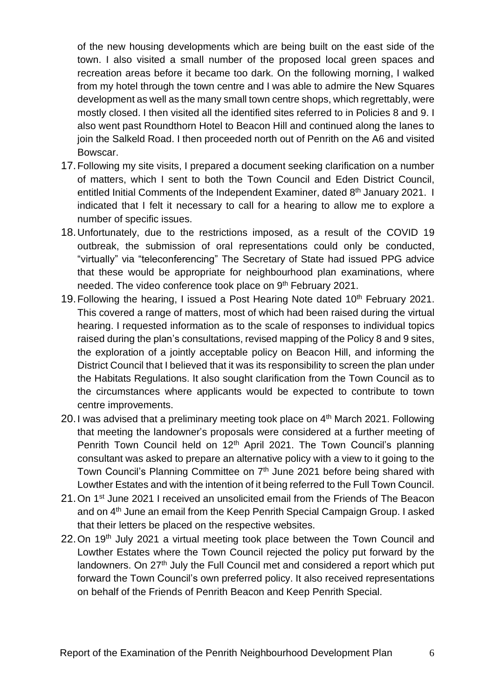of the new housing developments which are being built on the east side of the town. I also visited a small number of the proposed local green spaces and recreation areas before it became too dark. On the following morning, I walked from my hotel through the town centre and I was able to admire the New Squares development as well as the many small town centre shops, which regrettably, were mostly closed. I then visited all the identified sites referred to in Policies 8 and 9. I also went past Roundthorn Hotel to Beacon Hill and continued along the lanes to join the Salkeld Road. I then proceeded north out of Penrith on the A6 and visited Bowscar.

- 17.Following my site visits, I prepared a document seeking clarification on a number of matters, which I sent to both the Town Council and Eden District Council, entitled Initial Comments of the Independent Examiner, dated 8<sup>th</sup> January 2021. I indicated that I felt it necessary to call for a hearing to allow me to explore a number of specific issues.
- 18.Unfortunately, due to the restrictions imposed, as a result of the COVID 19 outbreak, the submission of oral representations could only be conducted, "virtually" via "teleconferencing" The Secretary of State had issued PPG advice that these would be appropriate for neighbourhood plan examinations, where needed. The video conference took place on 9<sup>th</sup> February 2021.
- 19. Following the hearing, I issued a Post Hearing Note dated  $10<sup>th</sup>$  February 2021. This covered a range of matters, most of which had been raised during the virtual hearing. I requested information as to the scale of responses to individual topics raised during the plan's consultations, revised mapping of the Policy 8 and 9 sites, the exploration of a jointly acceptable policy on Beacon Hill, and informing the District Council that I believed that it was its responsibility to screen the plan under the Habitats Regulations. It also sought clarification from the Town Council as to the circumstances where applicants would be expected to contribute to town centre improvements.
- 20. I was advised that a preliminary meeting took place on 4<sup>th</sup> March 2021. Following that meeting the landowner's proposals were considered at a further meeting of Penrith Town Council held on 12<sup>th</sup> April 2021. The Town Council's planning consultant was asked to prepare an alternative policy with a view to it going to the Town Council's Planning Committee on 7<sup>th</sup> June 2021 before being shared with Lowther Estates and with the intention of it being referred to the Full Town Council.
- 21. On 1<sup>st</sup> June 2021 I received an unsolicited email from the Friends of The Beacon and on 4<sup>th</sup> June an email from the Keep Penrith Special Campaign Group. I asked that their letters be placed on the respective websites.
- 22. On 19<sup>th</sup> July 2021 a virtual meeting took place between the Town Council and Lowther Estates where the Town Council rejected the policy put forward by the landowners. On 27<sup>th</sup> July the Full Council met and considered a report which put forward the Town Council's own preferred policy. It also received representations on behalf of the Friends of Penrith Beacon and Keep Penrith Special.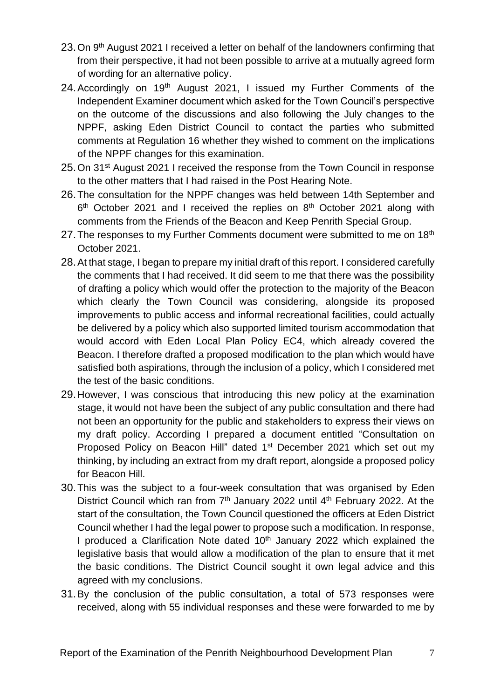- 23. On 9<sup>th</sup> August 2021 I received a letter on behalf of the landowners confirming that from their perspective, it had not been possible to arrive at a mutually agreed form of wording for an alternative policy.
- 24. Accordingly on 19<sup>th</sup> August 2021, I issued my Further Comments of the Independent Examiner document which asked for the Town Council's perspective on the outcome of the discussions and also following the July changes to the NPPF, asking Eden District Council to contact the parties who submitted comments at Regulation 16 whether they wished to comment on the implications of the NPPF changes for this examination.
- 25. On 31<sup>st</sup> August 2021 I received the response from the Town Council in response to the other matters that I had raised in the Post Hearing Note.
- 26.The consultation for the NPPF changes was held between 14th September and  $6<sup>th</sup>$  October 2021 and I received the replies on  $8<sup>th</sup>$  October 2021 along with comments from the Friends of the Beacon and Keep Penrith Special Group.
- 27. The responses to my Further Comments document were submitted to me on 18<sup>th</sup> October 2021.
- 28.At that stage, I began to prepare my initial draft of this report. I considered carefully the comments that I had received. It did seem to me that there was the possibility of drafting a policy which would offer the protection to the majority of the Beacon which clearly the Town Council was considering, alongside its proposed improvements to public access and informal recreational facilities, could actually be delivered by a policy which also supported limited tourism accommodation that would accord with Eden Local Plan Policy EC4, which already covered the Beacon. I therefore drafted a proposed modification to the plan which would have satisfied both aspirations, through the inclusion of a policy, which I considered met the test of the basic conditions.
- 29.However, I was conscious that introducing this new policy at the examination stage, it would not have been the subject of any public consultation and there had not been an opportunity for the public and stakeholders to express their views on my draft policy. According I prepared a document entitled "Consultation on Proposed Policy on Beacon Hill" dated 1<sup>st</sup> December 2021 which set out my thinking, by including an extract from my draft report, alongside a proposed policy for Beacon Hill.
- 30.This was the subject to a four-week consultation that was organised by Eden District Council which ran from 7<sup>th</sup> January 2022 until 4<sup>th</sup> February 2022. At the start of the consultation, the Town Council questioned the officers at Eden District Council whether I had the legal power to propose such a modification. In response, I produced a Clarification Note dated 10<sup>th</sup> January 2022 which explained the legislative basis that would allow a modification of the plan to ensure that it met the basic conditions. The District Council sought it own legal advice and this agreed with my conclusions.
- 31.By the conclusion of the public consultation, a total of 573 responses were received, along with 55 individual responses and these were forwarded to me by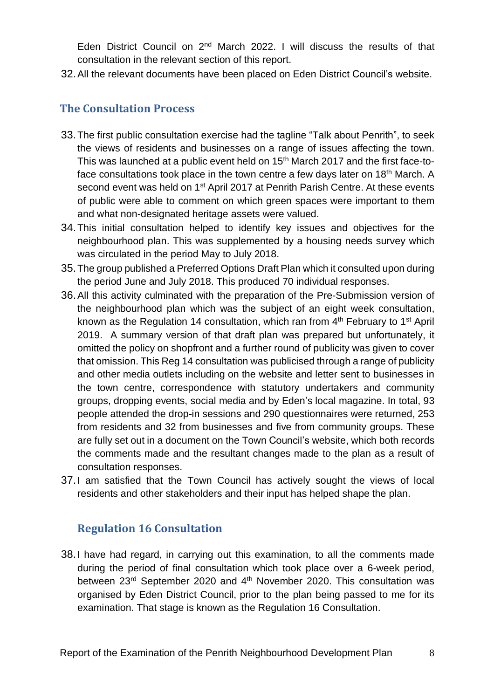Eden District Council on 2<sup>nd</sup> March 2022. I will discuss the results of that consultation in the relevant section of this report.

32.All the relevant documents have been placed on Eden District Council's website.

# **The Consultation Process**

- 33.The first public consultation exercise had the tagline "Talk about Penrith", to seek the views of residents and businesses on a range of issues affecting the town. This was launched at a public event held on 15<sup>th</sup> March 2017 and the first face-toface consultations took place in the town centre a few days later on 18<sup>th</sup> March. A second event was held on 1<sup>st</sup> April 2017 at Penrith Parish Centre. At these events of public were able to comment on which green spaces were important to them and what non-designated heritage assets were valued.
- 34.This initial consultation helped to identify key issues and objectives for the neighbourhood plan. This was supplemented by a housing needs survey which was circulated in the period May to July 2018.
- 35.The group published a Preferred Options Draft Plan which it consulted upon during the period June and July 2018. This produced 70 individual responses.
- 36.All this activity culminated with the preparation of the Pre-Submission version of the neighbourhood plan which was the subject of an eight week consultation, known as the Regulation 14 consultation, which ran from 4<sup>th</sup> February to 1<sup>st</sup> April 2019. A summary version of that draft plan was prepared but unfortunately, it omitted the policy on shopfront and a further round of publicity was given to cover that omission. This Reg 14 consultation was publicised through a range of publicity and other media outlets including on the website and letter sent to businesses in the town centre, correspondence with statutory undertakers and community groups, dropping events, social media and by Eden's local magazine. In total, 93 people attended the drop-in sessions and 290 questionnaires were returned, 253 from residents and 32 from businesses and five from community groups. These are fully set out in a document on the Town Council's website, which both records the comments made and the resultant changes made to the plan as a result of consultation responses.
- 37.I am satisfied that the Town Council has actively sought the views of local residents and other stakeholders and their input has helped shape the plan.

# **Regulation 16 Consultation**

38.I have had regard, in carrying out this examination, to all the comments made during the period of final consultation which took place over a 6-week period, between 23<sup>rd</sup> September 2020 and 4<sup>th</sup> November 2020. This consultation was organised by Eden District Council, prior to the plan being passed to me for its examination. That stage is known as the Regulation 16 Consultation.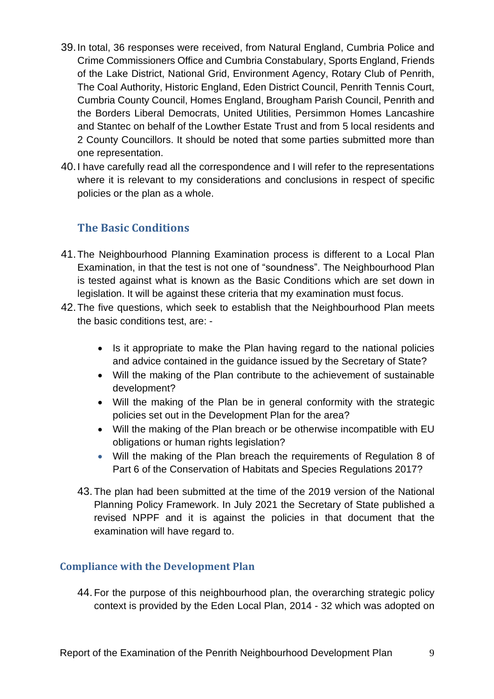- 39.In total, 36 responses were received, from Natural England, Cumbria Police and Crime Commissioners Office and Cumbria Constabulary, Sports England, Friends of the Lake District, National Grid, Environment Agency, Rotary Club of Penrith, The Coal Authority, Historic England, Eden District Council, Penrith Tennis Court, Cumbria County Council, Homes England, Brougham Parish Council, Penrith and the Borders Liberal Democrats, United Utilities, Persimmon Homes Lancashire and Stantec on behalf of the Lowther Estate Trust and from 5 local residents and 2 County Councillors. It should be noted that some parties submitted more than one representation.
- 40.I have carefully read all the correspondence and I will refer to the representations where it is relevant to my considerations and conclusions in respect of specific policies or the plan as a whole.

# **The Basic Conditions**

- 41.The Neighbourhood Planning Examination process is different to a Local Plan Examination, in that the test is not one of "soundness". The Neighbourhood Plan is tested against what is known as the Basic Conditions which are set down in legislation. It will be against these criteria that my examination must focus.
- 42.The five questions, which seek to establish that the Neighbourhood Plan meets the basic conditions test, are: -
	- Is it appropriate to make the Plan having regard to the national policies and advice contained in the guidance issued by the Secretary of State?
	- Will the making of the Plan contribute to the achievement of sustainable development?
	- Will the making of the Plan be in general conformity with the strategic policies set out in the Development Plan for the area?
	- Will the making of the Plan breach or be otherwise incompatible with EU obligations or human rights legislation?
	- Will the making of the Plan breach the requirements of Regulation 8 of Part 6 of the Conservation of Habitats and Species Regulations 2017?
	- 43. The plan had been submitted at the time of the 2019 version of the National Planning Policy Framework. In July 2021 the Secretary of State published a revised NPPF and it is against the policies in that document that the examination will have regard to.

# **Compliance with the Development Plan**

44. For the purpose of this neighbourhood plan, the overarching strategic policy context is provided by the Eden Local Plan, 2014 - 32 which was adopted on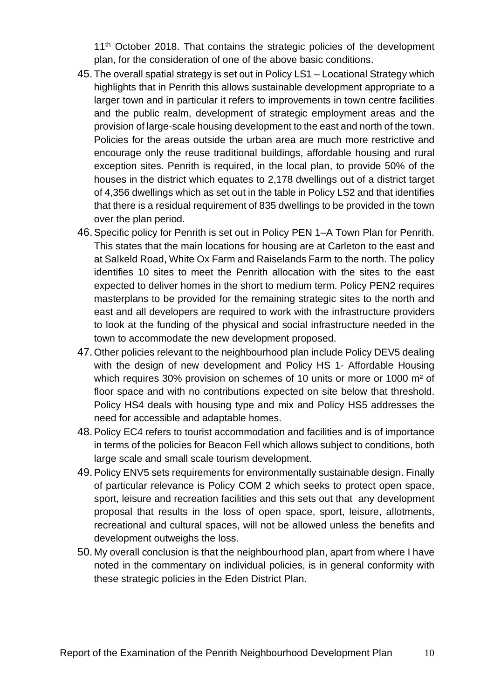11<sup>th</sup> October 2018. That contains the strategic policies of the development plan, for the consideration of one of the above basic conditions.

- 45. The overall spatial strategy is set out in Policy LS1 Locational Strategy which highlights that in Penrith this allows sustainable development appropriate to a larger town and in particular it refers to improvements in town centre facilities and the public realm, development of strategic employment areas and the provision of large-scale housing development to the east and north of the town. Policies for the areas outside the urban area are much more restrictive and encourage only the reuse traditional buildings, affordable housing and rural exception sites. Penrith is required, in the local plan, to provide 50% of the houses in the district which equates to 2,178 dwellings out of a district target of 4,356 dwellings which as set out in the table in Policy LS2 and that identifies that there is a residual requirement of 835 dwellings to be provided in the town over the plan period.
- 46.Specific policy for Penrith is set out in Policy PEN 1–A Town Plan for Penrith. This states that the main locations for housing are at Carleton to the east and at Salkeld Road, White Ox Farm and Raiselands Farm to the north. The policy identifies 10 sites to meet the Penrith allocation with the sites to the east expected to deliver homes in the short to medium term. Policy PEN2 requires masterplans to be provided for the remaining strategic sites to the north and east and all developers are required to work with the infrastructure providers to look at the funding of the physical and social infrastructure needed in the town to accommodate the new development proposed.
- 47. Other policies relevant to the neighbourhood plan include Policy DEV5 dealing with the design of new development and Policy HS 1- Affordable Housing which requires 30% provision on schemes of 10 units or more or 1000 m<sup>2</sup> of floor space and with no contributions expected on site below that threshold. Policy HS4 deals with housing type and mix and Policy HS5 addresses the need for accessible and adaptable homes.
- 48.Policy EC4 refers to tourist accommodation and facilities and is of importance in terms of the policies for Beacon Fell which allows subject to conditions, both large scale and small scale tourism development.
- 49.Policy ENV5 sets requirements for environmentally sustainable design. Finally of particular relevance is Policy COM 2 which seeks to protect open space, sport, leisure and recreation facilities and this sets out that any development proposal that results in the loss of open space, sport, leisure, allotments, recreational and cultural spaces, will not be allowed unless the benefits and development outweighs the loss.
- 50. My overall conclusion is that the neighbourhood plan, apart from where I have noted in the commentary on individual policies, is in general conformity with these strategic policies in the Eden District Plan.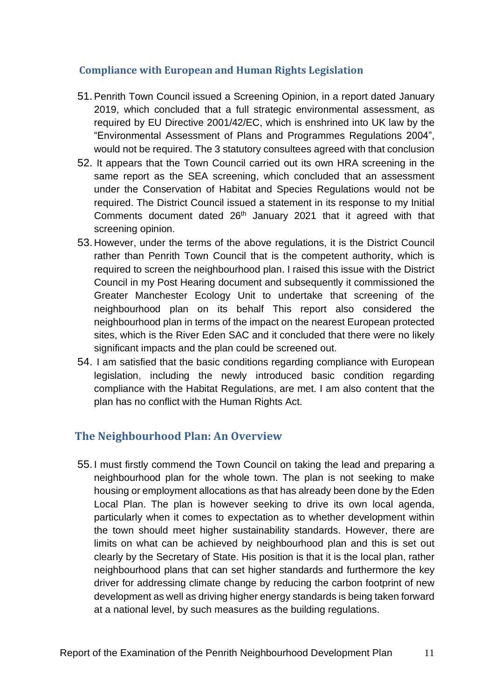# **Compliance with European and Human Rights Legislation**

- 51.Penrith Town Council issued a Screening Opinion, in a report dated January 2019, which concluded that a full strategic environmental assessment, as required by EU Directive 2001/42/EC, which is enshrined into UK law by the "Environmental Assessment of Plans and Programmes Regulations 2004", would not be required. The 3 statutory consultees agreed with that conclusion
- 52. It appears that the Town Council carried out its own HRA screening in the same report as the SEA screening, which concluded that an assessment under the Conservation of Habitat and Species Regulations would not be required. The District Council issued a statement in its response to my Initial Comments document dated 26<sup>th</sup> January 2021 that it agreed with that screening opinion.
- 53. However, under the terms of the above regulations, it is the District Council rather than Penrith Town Council that is the competent authority, which is required to screen the neighbourhood plan. I raised this issue with the District Council in my Post Hearing document and subsequently it commissioned the Greater Manchester Ecology Unit to undertake that screening of the neighbourhood plan on its behalf This report also considered the neighbourhood plan in terms of the impact on the nearest European protected sites, which is the River Eden SAC and it concluded that there were no likely significant impacts and the plan could be screened out.
- 54. I am satisfied that the basic conditions regarding compliance with European legislation, including the newly introduced basic condition regarding compliance with the Habitat Regulations, are met. I am also content that the plan has no conflict with the Human Rights Act.

# **The Neighbourhood Plan: An Overview**

55. I must firstly commend the Town Council on taking the lead and preparing a neighbourhood plan for the whole town. The plan is not seeking to make housing or employment allocations as that has already been done by the Eden Local Plan. The plan is however seeking to drive its own local agenda, particularly when it comes to expectation as to whether development within the town should meet higher sustainability standards. However, there are limits on what can be achieved by neighbourhood plan and this is set out clearly by the Secretary of State. His position is that it is the local plan, rather neighbourhood plans that can set higher standards and furthermore the key driver for addressing climate change by reducing the carbon footprint of new development as well as driving higher energy standards is being taken forward at a national level, by such measures as the building regulations.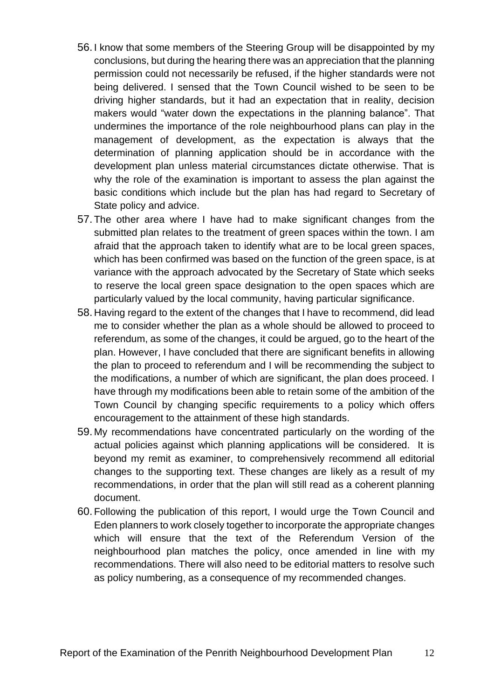- 56. I know that some members of the Steering Group will be disappointed by my conclusions, but during the hearing there was an appreciation that the planning permission could not necessarily be refused, if the higher standards were not being delivered. I sensed that the Town Council wished to be seen to be driving higher standards, but it had an expectation that in reality, decision makers would "water down the expectations in the planning balance". That undermines the importance of the role neighbourhood plans can play in the management of development, as the expectation is always that the determination of planning application should be in accordance with the development plan unless material circumstances dictate otherwise. That is why the role of the examination is important to assess the plan against the basic conditions which include but the plan has had regard to Secretary of State policy and advice.
- 57. The other area where I have had to make significant changes from the submitted plan relates to the treatment of green spaces within the town. I am afraid that the approach taken to identify what are to be local green spaces, which has been confirmed was based on the function of the green space, is at variance with the approach advocated by the Secretary of State which seeks to reserve the local green space designation to the open spaces which are particularly valued by the local community, having particular significance.
- 58. Having regard to the extent of the changes that I have to recommend, did lead me to consider whether the plan as a whole should be allowed to proceed to referendum, as some of the changes, it could be argued, go to the heart of the plan. However, I have concluded that there are significant benefits in allowing the plan to proceed to referendum and I will be recommending the subject to the modifications, a number of which are significant, the plan does proceed. I have through my modifications been able to retain some of the ambition of the Town Council by changing specific requirements to a policy which offers encouragement to the attainment of these high standards.
- 59. My recommendations have concentrated particularly on the wording of the actual policies against which planning applications will be considered. It is beyond my remit as examiner, to comprehensively recommend all editorial changes to the supporting text. These changes are likely as a result of my recommendations, in order that the plan will still read as a coherent planning document.
- 60. Following the publication of this report, I would urge the Town Council and Eden planners to work closely together to incorporate the appropriate changes which will ensure that the text of the Referendum Version of the neighbourhood plan matches the policy, once amended in line with my recommendations. There will also need to be editorial matters to resolve such as policy numbering, as a consequence of my recommended changes.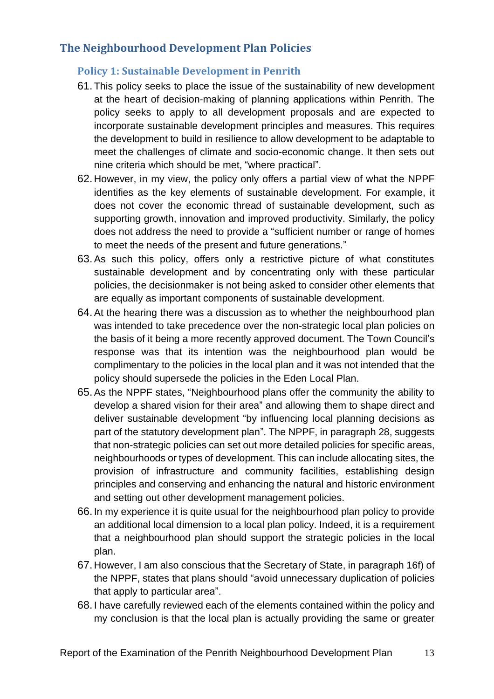# **The Neighbourhood Development Plan Policies**

# **Policy 1: Sustainable Development in Penrith**

- 61. This policy seeks to place the issue of the sustainability of new development at the heart of decision-making of planning applications within Penrith. The policy seeks to apply to all development proposals and are expected to incorporate sustainable development principles and measures. This requires the development to build in resilience to allow development to be adaptable to meet the challenges of climate and socio-economic change. It then sets out nine criteria which should be met, "where practical".
- 62. However, in my view, the policy only offers a partial view of what the NPPF identifies as the key elements of sustainable development. For example, it does not cover the economic thread of sustainable development, such as supporting growth, innovation and improved productivity. Similarly, the policy does not address the need to provide a "sufficient number or range of homes to meet the needs of the present and future generations."
- 63.As such this policy, offers only a restrictive picture of what constitutes sustainable development and by concentrating only with these particular policies, the decisionmaker is not being asked to consider other elements that are equally as important components of sustainable development.
- 64.At the hearing there was a discussion as to whether the neighbourhood plan was intended to take precedence over the non-strategic local plan policies on the basis of it being a more recently approved document. The Town Council's response was that its intention was the neighbourhood plan would be complimentary to the policies in the local plan and it was not intended that the policy should supersede the policies in the Eden Local Plan.
- 65.As the NPPF states, "Neighbourhood plans offer the community the ability to develop a shared vision for their area" and allowing them to shape direct and deliver sustainable development "by influencing local planning decisions as part of the statutory development plan". The NPPF, in paragraph 28, suggests that non-strategic policies can set out more detailed policies for specific areas, neighbourhoods or types of development. This can include allocating sites, the provision of infrastructure and community facilities, establishing design principles and conserving and enhancing the natural and historic environment and setting out other development management policies.
- 66. In my experience it is quite usual for the neighbourhood plan policy to provide an additional local dimension to a local plan policy. Indeed, it is a requirement that a neighbourhood plan should support the strategic policies in the local plan.
- 67. However, I am also conscious that the Secretary of State, in paragraph 16f) of the NPPF, states that plans should "avoid unnecessary duplication of policies that apply to particular area".
- 68. I have carefully reviewed each of the elements contained within the policy and my conclusion is that the local plan is actually providing the same or greater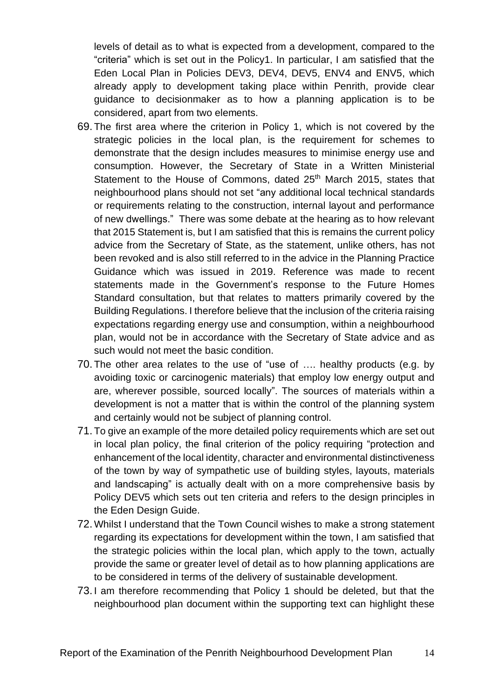levels of detail as to what is expected from a development, compared to the "criteria" which is set out in the Policy1. In particular, I am satisfied that the Eden Local Plan in Policies DEV3, DEV4, DEV5, ENV4 and ENV5, which already apply to development taking place within Penrith, provide clear guidance to decisionmaker as to how a planning application is to be considered, apart from two elements.

- 69. The first area where the criterion in Policy 1, which is not covered by the strategic policies in the local plan, is the requirement for schemes to demonstrate that the design includes measures to minimise energy use and consumption. However, the Secretary of State in a Written Ministerial Statement to the House of Commons, dated 25<sup>th</sup> March 2015, states that neighbourhood plans should not set "any additional local technical standards or requirements relating to the construction, internal layout and performance of new dwellings." There was some debate at the hearing as to how relevant that 2015 Statement is, but I am satisfied that this is remains the current policy advice from the Secretary of State, as the statement, unlike others, has not been revoked and is also still referred to in the advice in the Planning Practice Guidance which was issued in 2019. Reference was made to recent statements made in the Government's response to the Future Homes Standard consultation, but that relates to matters primarily covered by the Building Regulations. I therefore believe that the inclusion of the criteria raising expectations regarding energy use and consumption, within a neighbourhood plan, would not be in accordance with the Secretary of State advice and as such would not meet the basic condition.
- 70. The other area relates to the use of "use of …. healthy products (e.g. by avoiding toxic or carcinogenic materials) that employ low energy output and are, wherever possible, sourced locally". The sources of materials within a development is not a matter that is within the control of the planning system and certainly would not be subject of planning control.
- 71. To give an example of the more detailed policy requirements which are set out in local plan policy, the final criterion of the policy requiring "protection and enhancement of the local identity, character and environmental distinctiveness of the town by way of sympathetic use of building styles, layouts, materials and landscaping" is actually dealt with on a more comprehensive basis by Policy DEV5 which sets out ten criteria and refers to the design principles in the Eden Design Guide.
- 72.Whilst I understand that the Town Council wishes to make a strong statement regarding its expectations for development within the town, I am satisfied that the strategic policies within the local plan, which apply to the town, actually provide the same or greater level of detail as to how planning applications are to be considered in terms of the delivery of sustainable development.
- 73. I am therefore recommending that Policy 1 should be deleted, but that the neighbourhood plan document within the supporting text can highlight these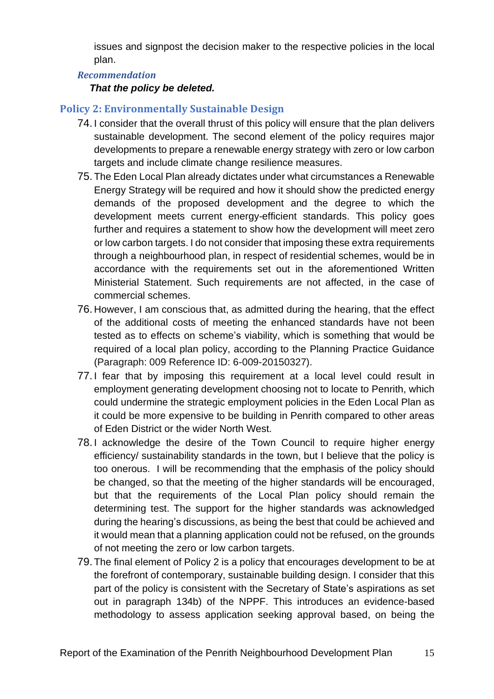issues and signpost the decision maker to the respective policies in the local plan.

## *Recommendation*

#### *That the policy be deleted.*

# **Policy 2: Environmentally Sustainable Design**

- 74. I consider that the overall thrust of this policy will ensure that the plan delivers sustainable development. The second element of the policy requires major developments to prepare a renewable energy strategy with zero or low carbon targets and include climate change resilience measures.
- 75. The Eden Local Plan already dictates under what circumstances a Renewable Energy Strategy will be required and how it should show the predicted energy demands of the proposed development and the degree to which the development meets current energy-efficient standards. This policy goes further and requires a statement to show how the development will meet zero or low carbon targets. I do not consider that imposing these extra requirements through a neighbourhood plan, in respect of residential schemes, would be in accordance with the requirements set out in the aforementioned Written Ministerial Statement. Such requirements are not affected, in the case of commercial schemes.
- 76. However, I am conscious that, as admitted during the hearing, that the effect of the additional costs of meeting the enhanced standards have not been tested as to effects on scheme's viability, which is something that would be required of a local plan policy, according to the Planning Practice Guidance (Paragraph: 009 Reference ID: 6-009-20150327).
- 77. I fear that by imposing this requirement at a local level could result in employment generating development choosing not to locate to Penrith, which could undermine the strategic employment policies in the Eden Local Plan as it could be more expensive to be building in Penrith compared to other areas of Eden District or the wider North West.
- 78. I acknowledge the desire of the Town Council to require higher energy efficiency/ sustainability standards in the town, but I believe that the policy is too onerous. I will be recommending that the emphasis of the policy should be changed, so that the meeting of the higher standards will be encouraged, but that the requirements of the Local Plan policy should remain the determining test. The support for the higher standards was acknowledged during the hearing's discussions, as being the best that could be achieved and it would mean that a planning application could not be refused, on the grounds of not meeting the zero or low carbon targets.
- 79. The final element of Policy 2 is a policy that encourages development to be at the forefront of contemporary, sustainable building design. I consider that this part of the policy is consistent with the Secretary of State's aspirations as set out in paragraph 134b) of the NPPF. This introduces an evidence-based methodology to assess application seeking approval based, on being the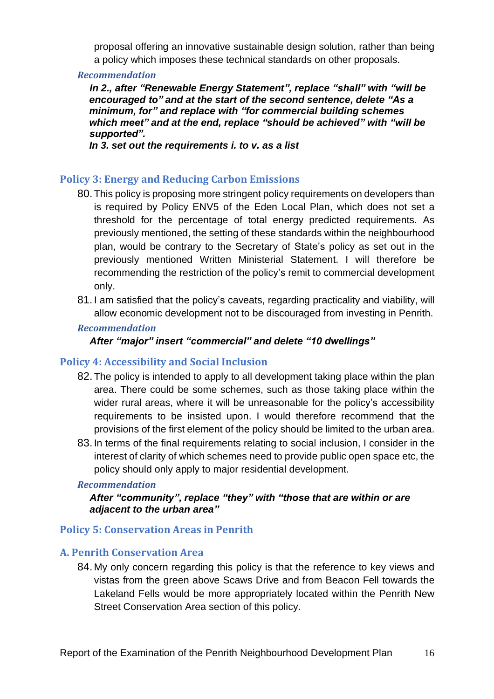proposal offering an innovative sustainable design solution, rather than being a policy which imposes these technical standards on other proposals.

#### *Recommendation*

*In 2., after "Renewable Energy Statement", replace "shall" with "will be encouraged to" and at the start of the second sentence, delete "As a minimum, for" and replace with "for commercial building schemes which meet" and at the end, replace "should be achieved" with "will be supported".*

*In 3. set out the requirements i. to v. as a list*

# **Policy 3: Energy and Reducing Carbon Emissions**

- 80. This policy is proposing more stringent policy requirements on developers than is required by Policy ENV5 of the Eden Local Plan, which does not set a threshold for the percentage of total energy predicted requirements. As previously mentioned, the setting of these standards within the neighbourhood plan, would be contrary to the Secretary of State's policy as set out in the previously mentioned Written Ministerial Statement. I will therefore be recommending the restriction of the policy's remit to commercial development only.
- 81. I am satisfied that the policy's caveats, regarding practicality and viability, will allow economic development not to be discouraged from investing in Penrith.

#### *Recommendation*

# *After "major" insert "commercial" and delete "10 dwellings"*

# **Policy 4: Accessibility and Social Inclusion**

- 82. The policy is intended to apply to all development taking place within the plan area. There could be some schemes, such as those taking place within the wider rural areas, where it will be unreasonable for the policy's accessibility requirements to be insisted upon. I would therefore recommend that the provisions of the first element of the policy should be limited to the urban area.
- 83. In terms of the final requirements relating to social inclusion, I consider in the interest of clarity of which schemes need to provide public open space etc, the policy should only apply to major residential development.

#### *Recommendation*

#### *After "community", replace "they" with "those that are within or are adjacent to the urban area"*

# **Policy 5: Conservation Areas in Penrith**

# **A. Penrith Conservation Area**

84. My only concern regarding this policy is that the reference to key views and vistas from the green above Scaws Drive and from Beacon Fell towards the Lakeland Fells would be more appropriately located within the Penrith New Street Conservation Area section of this policy.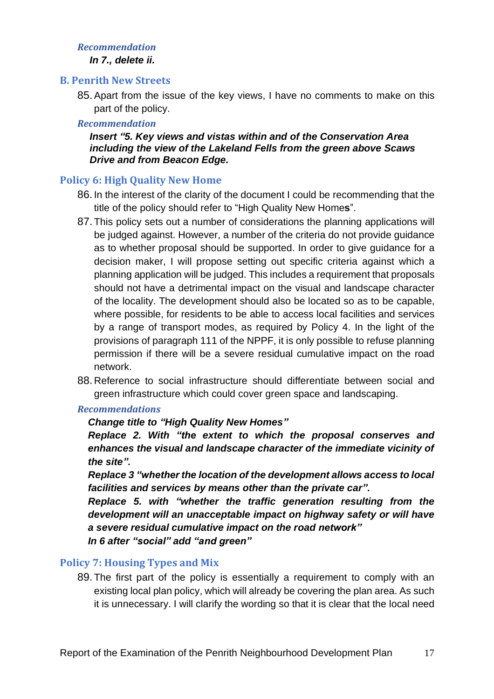#### *Recommendation*

*In 7., delete ii.*

#### **B. Penrith New Streets**

85.Apart from the issue of the key views, I have no comments to make on this part of the policy.

# *Recommendation*

*Insert "5. Key views and vistas within and of the Conservation Area including the view of the Lakeland Fells from the green above Scaws Drive and from Beacon Edge.*

# **Policy 6: High Quality New Home**

- 86. In the interest of the clarity of the document I could be recommending that the title of the policy should refer to "High Quality New Home**s**".
- 87. This policy sets out a number of considerations the planning applications will be judged against. However, a number of the criteria do not provide guidance as to whether proposal should be supported. In order to give guidance for a decision maker, I will propose setting out specific criteria against which a planning application will be judged. This includes a requirement that proposals should not have a detrimental impact on the visual and landscape character of the locality. The development should also be located so as to be capable, where possible, for residents to be able to access local facilities and services by a range of transport modes, as required by Policy 4. In the light of the provisions of paragraph 111 of the NPPF, it is only possible to refuse planning permission if there will be a severe residual cumulative impact on the road network.
- 88. Reference to social infrastructure should differentiate between social and green infrastructure which could cover green space and landscaping.

# *Recommendations*

# *Change title to "High Quality New Homes"*

*Replace 2. With "the extent to which the proposal conserves and enhances the visual and landscape character of the immediate vicinity of the site".*

*Replace 3 "whether the location of the development allows access to local facilities and services by means other than the private car".*

*Replace 5. with "whether the traffic generation resulting from the development will an unacceptable impact on highway safety or will have a severe residual cumulative impact on the road network"*

*In 6 after "social" add "and green"*

# **Policy 7: Housing Types and Mix**

89. The first part of the policy is essentially a requirement to comply with an existing local plan policy, which will already be covering the plan area. As such it is unnecessary. I will clarify the wording so that it is clear that the local need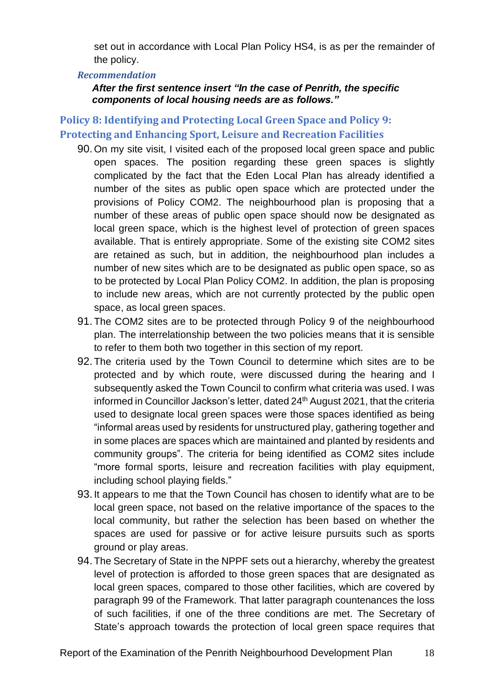set out in accordance with Local Plan Policy HS4, is as per the remainder of the policy.

#### *Recommendation*

*After the first sentence insert "In the case of Penrith, the specific components of local housing needs are as follows."*

# **Policy 8: Identifying and Protecting Local Green Space and Policy 9: Protecting and Enhancing Sport, Leisure and Recreation Facilities**

- 90. On my site visit, I visited each of the proposed local green space and public open spaces. The position regarding these green spaces is slightly complicated by the fact that the Eden Local Plan has already identified a number of the sites as public open space which are protected under the provisions of Policy COM2. The neighbourhood plan is proposing that a number of these areas of public open space should now be designated as local green space, which is the highest level of protection of green spaces available. That is entirely appropriate. Some of the existing site COM2 sites are retained as such, but in addition, the neighbourhood plan includes a number of new sites which are to be designated as public open space, so as to be protected by Local Plan Policy COM2. In addition, the plan is proposing to include new areas, which are not currently protected by the public open space, as local green spaces.
- 91. The COM2 sites are to be protected through Policy 9 of the neighbourhood plan. The interrelationship between the two policies means that it is sensible to refer to them both two together in this section of my report.
- 92. The criteria used by the Town Council to determine which sites are to be protected and by which route, were discussed during the hearing and I subsequently asked the Town Council to confirm what criteria was used. I was informed in Councillor Jackson's letter, dated 24<sup>th</sup> August 2021, that the criteria used to designate local green spaces were those spaces identified as being "informal areas used by residents for unstructured play, gathering together and in some places are spaces which are maintained and planted by residents and community groups". The criteria for being identified as COM2 sites include "more formal sports, leisure and recreation facilities with play equipment, including school playing fields."
- 93. It appears to me that the Town Council has chosen to identify what are to be local green space, not based on the relative importance of the spaces to the local community, but rather the selection has been based on whether the spaces are used for passive or for active leisure pursuits such as sports ground or play areas.
- 94. The Secretary of State in the NPPF sets out a hierarchy, whereby the greatest level of protection is afforded to those green spaces that are designated as local green spaces, compared to those other facilities, which are covered by paragraph 99 of the Framework. That latter paragraph countenances the loss of such facilities, if one of the three conditions are met. The Secretary of State's approach towards the protection of local green space requires that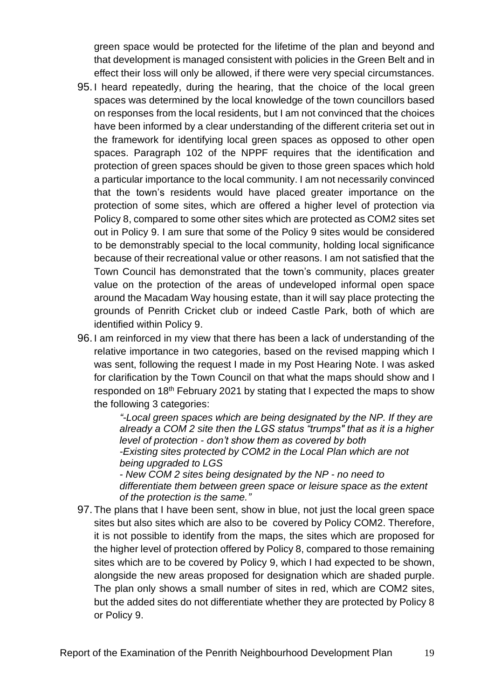green space would be protected for the lifetime of the plan and beyond and that development is managed consistent with policies in the Green Belt and in effect their loss will only be allowed, if there were very special circumstances.

- 95. I heard repeatedly, during the hearing, that the choice of the local green spaces was determined by the local knowledge of the town councillors based on responses from the local residents, but I am not convinced that the choices have been informed by a clear understanding of the different criteria set out in the framework for identifying local green spaces as opposed to other open spaces. Paragraph 102 of the NPPF requires that the identification and protection of green spaces should be given to those green spaces which hold a particular importance to the local community. I am not necessarily convinced that the town's residents would have placed greater importance on the protection of some sites, which are offered a higher level of protection via Policy 8, compared to some other sites which are protected as COM2 sites set out in Policy 9. I am sure that some of the Policy 9 sites would be considered to be demonstrably special to the local community, holding local significance because of their recreational value or other reasons. I am not satisfied that the Town Council has demonstrated that the town's community, places greater value on the protection of the areas of undeveloped informal open space around the Macadam Way housing estate, than it will say place protecting the grounds of Penrith Cricket club or indeed Castle Park, both of which are identified within Policy 9.
- 96. I am reinforced in my view that there has been a lack of understanding of the relative importance in two categories, based on the revised mapping which I was sent, following the request I made in my Post Hearing Note. I was asked for clarification by the Town Council on that what the maps should show and I responded on 18<sup>th</sup> February 2021 by stating that I expected the maps to show the following 3 categories:

*"-Local green spaces which are being designated by the NP. If they are already a COM 2 site then the LGS status "trumps" that as it is a higher level of protection - don't show them as covered by both -Existing sites protected by COM2 in the Local Plan which are not being upgraded to LGS*

*- New COM 2 sites being designated by the NP - no need to differentiate them between green space or leisure space as the extent of the protection is the same."*

97. The plans that I have been sent, show in blue, not just the local green space sites but also sites which are also to be covered by Policy COM2. Therefore, it is not possible to identify from the maps, the sites which are proposed for the higher level of protection offered by Policy 8, compared to those remaining sites which are to be covered by Policy 9, which I had expected to be shown, alongside the new areas proposed for designation which are shaded purple. The plan only shows a small number of sites in red, which are COM2 sites, but the added sites do not differentiate whether they are protected by Policy 8 or Policy 9.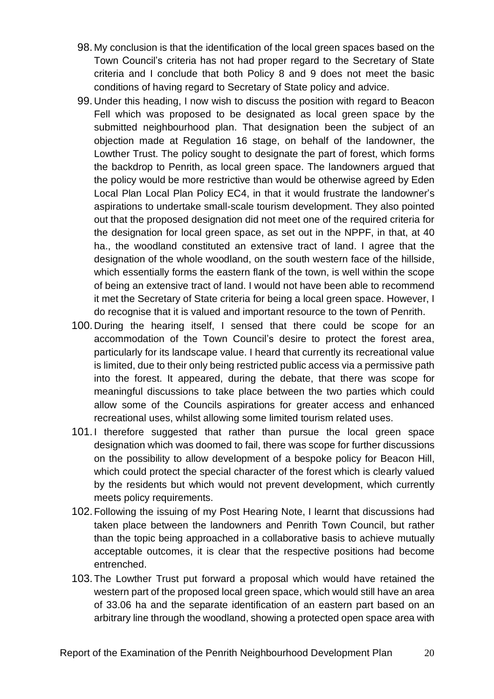- 98. My conclusion is that the identification of the local green spaces based on the Town Council's criteria has not had proper regard to the Secretary of State criteria and I conclude that both Policy 8 and 9 does not meet the basic conditions of having regard to Secretary of State policy and advice.
- 99. Under this heading, I now wish to discuss the position with regard to Beacon Fell which was proposed to be designated as local green space by the submitted neighbourhood plan. That designation been the subject of an objection made at Regulation 16 stage, on behalf of the landowner, the Lowther Trust. The policy sought to designate the part of forest, which forms the backdrop to Penrith, as local green space. The landowners argued that the policy would be more restrictive than would be otherwise agreed by Eden Local Plan Local Plan Policy EC4, in that it would frustrate the landowner's aspirations to undertake small-scale tourism development. They also pointed out that the proposed designation did not meet one of the required criteria for the designation for local green space, as set out in the NPPF, in that, at 40 ha., the woodland constituted an extensive tract of land. I agree that the designation of the whole woodland, on the south western face of the hillside, which essentially forms the eastern flank of the town, is well within the scope of being an extensive tract of land. I would not have been able to recommend it met the Secretary of State criteria for being a local green space. However, I do recognise that it is valued and important resource to the town of Penrith.
- 100.During the hearing itself, I sensed that there could be scope for an accommodation of the Town Council's desire to protect the forest area, particularly for its landscape value. I heard that currently its recreational value is limited, due to their only being restricted public access via a permissive path into the forest. It appeared, during the debate, that there was scope for meaningful discussions to take place between the two parties which could allow some of the Councils aspirations for greater access and enhanced recreational uses, whilst allowing some limited tourism related uses.
- 101.I therefore suggested that rather than pursue the local green space designation which was doomed to fail, there was scope for further discussions on the possibility to allow development of a bespoke policy for Beacon Hill, which could protect the special character of the forest which is clearly valued by the residents but which would not prevent development, which currently meets policy requirements.
- 102.Following the issuing of my Post Hearing Note, I learnt that discussions had taken place between the landowners and Penrith Town Council, but rather than the topic being approached in a collaborative basis to achieve mutually acceptable outcomes, it is clear that the respective positions had become entrenched.
- 103.The Lowther Trust put forward a proposal which would have retained the western part of the proposed local green space, which would still have an area of 33.06 ha and the separate identification of an eastern part based on an arbitrary line through the woodland, showing a protected open space area with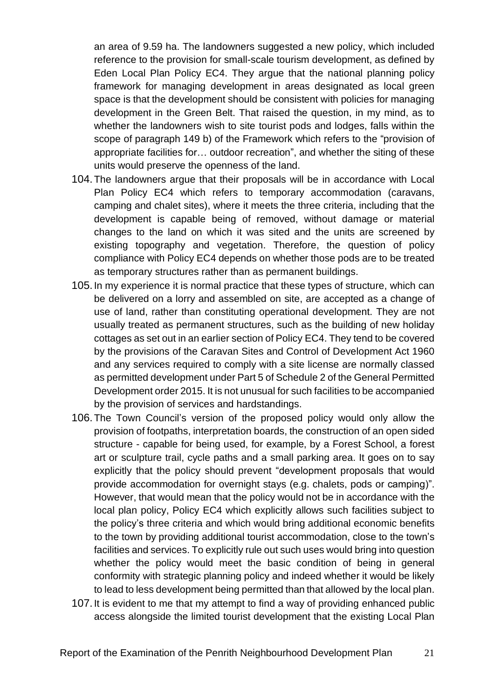an area of 9.59 ha. The landowners suggested a new policy, which included reference to the provision for small-scale tourism development, as defined by Eden Local Plan Policy EC4. They argue that the national planning policy framework for managing development in areas designated as local green space is that the development should be consistent with policies for managing development in the Green Belt. That raised the question, in my mind, as to whether the landowners wish to site tourist pods and lodges, falls within the scope of paragraph 149 b) of the Framework which refers to the "provision of appropriate facilities for… outdoor recreation", and whether the siting of these units would preserve the openness of the land.

- 104.The landowners argue that their proposals will be in accordance with Local Plan Policy EC4 which refers to temporary accommodation (caravans, camping and chalet sites), where it meets the three criteria, including that the development is capable being of removed, without damage or material changes to the land on which it was sited and the units are screened by existing topography and vegetation. Therefore, the question of policy compliance with Policy EC4 depends on whether those pods are to be treated as temporary structures rather than as permanent buildings.
- 105.In my experience it is normal practice that these types of structure, which can be delivered on a lorry and assembled on site, are accepted as a change of use of land, rather than constituting operational development. They are not usually treated as permanent structures, such as the building of new holiday cottages as set out in an earlier section of Policy EC4. They tend to be covered by the provisions of the Caravan Sites and Control of Development Act 1960 and any services required to comply with a site license are normally classed as permitted development under Part 5 of Schedule 2 of the General Permitted Development order 2015. It is not unusual for such facilities to be accompanied by the provision of services and hardstandings.
- 106.The Town Council's version of the proposed policy would only allow the provision of footpaths, interpretation boards, the construction of an open sided structure - capable for being used, for example, by a Forest School, a forest art or sculpture trail, cycle paths and a small parking area. It goes on to say explicitly that the policy should prevent "development proposals that would provide accommodation for overnight stays (e.g. chalets, pods or camping)". However, that would mean that the policy would not be in accordance with the local plan policy, Policy EC4 which explicitly allows such facilities subject to the policy's three criteria and which would bring additional economic benefits to the town by providing additional tourist accommodation, close to the town's facilities and services. To explicitly rule out such uses would bring into question whether the policy would meet the basic condition of being in general conformity with strategic planning policy and indeed whether it would be likely to lead to less development being permitted than that allowed by the local plan.
- 107.It is evident to me that my attempt to find a way of providing enhanced public access alongside the limited tourist development that the existing Local Plan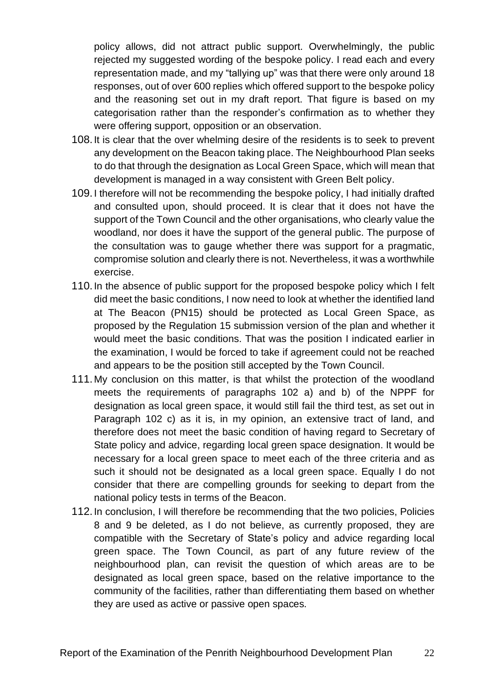policy allows, did not attract public support. Overwhelmingly, the public rejected my suggested wording of the bespoke policy. I read each and every representation made, and my "tallying up" was that there were only around 18 responses, out of over 600 replies which offered support to the bespoke policy and the reasoning set out in my draft report. That figure is based on my categorisation rather than the responder's confirmation as to whether they were offering support, opposition or an observation.

- 108.It is clear that the over whelming desire of the residents is to seek to prevent any development on the Beacon taking place. The Neighbourhood Plan seeks to do that through the designation as Local Green Space, which will mean that development is managed in a way consistent with Green Belt policy.
- 109.I therefore will not be recommending the bespoke policy, I had initially drafted and consulted upon, should proceed. It is clear that it does not have the support of the Town Council and the other organisations, who clearly value the woodland, nor does it have the support of the general public. The purpose of the consultation was to gauge whether there was support for a pragmatic, compromise solution and clearly there is not. Nevertheless, it was a worthwhile exercise.
- 110.In the absence of public support for the proposed bespoke policy which I felt did meet the basic conditions, I now need to look at whether the identified land at The Beacon (PN15) should be protected as Local Green Space, as proposed by the Regulation 15 submission version of the plan and whether it would meet the basic conditions. That was the position I indicated earlier in the examination, I would be forced to take if agreement could not be reached and appears to be the position still accepted by the Town Council.
- 111.My conclusion on this matter, is that whilst the protection of the woodland meets the requirements of paragraphs 102 a) and b) of the NPPF for designation as local green space, it would still fail the third test, as set out in Paragraph 102 c) as it is, in my opinion, an extensive tract of land, and therefore does not meet the basic condition of having regard to Secretary of State policy and advice, regarding local green space designation. It would be necessary for a local green space to meet each of the three criteria and as such it should not be designated as a local green space. Equally I do not consider that there are compelling grounds for seeking to depart from the national policy tests in terms of the Beacon.
- 112.In conclusion, I will therefore be recommending that the two policies, Policies 8 and 9 be deleted, as I do not believe, as currently proposed, they are compatible with the Secretary of State's policy and advice regarding local green space. The Town Council, as part of any future review of the neighbourhood plan, can revisit the question of which areas are to be designated as local green space, based on the relative importance to the community of the facilities, rather than differentiating them based on whether they are used as active or passive open spaces.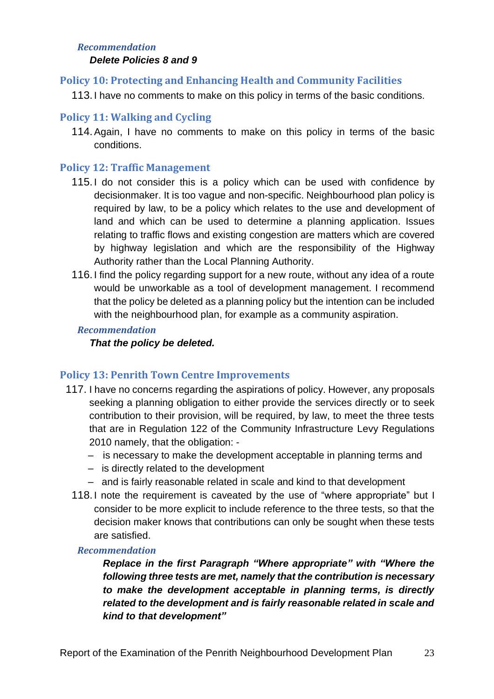#### *Recommendation*

#### *Delete Policies 8 and 9*

#### **Policy 10: Protecting and Enhancing Health and Community Facilities**

113.I have no comments to make on this policy in terms of the basic conditions.

#### **Policy 11: Walking and Cycling**

114.Again, I have no comments to make on this policy in terms of the basic conditions.

## **Policy 12: Traffic Management**

- 115.I do not consider this is a policy which can be used with confidence by decisionmaker. It is too vague and non-specific. Neighbourhood plan policy is required by law, to be a policy which relates to the use and development of land and which can be used to determine a planning application. Issues relating to traffic flows and existing congestion are matters which are covered by highway legislation and which are the responsibility of the Highway Authority rather than the Local Planning Authority.
- 116.I find the policy regarding support for a new route, without any idea of a route would be unworkable as a tool of development management. I recommend that the policy be deleted as a planning policy but the intention can be included with the neighbourhood plan, for example as a community aspiration.

#### *Recommendation*

#### *That the policy be deleted.*

#### **Policy 13: Penrith Town Centre Improvements**

- 117. I have no concerns regarding the aspirations of policy. However, any proposals seeking a planning obligation to either provide the services directly or to seek contribution to their provision, will be required, by law, to meet the three tests that are in Regulation 122 of the Community Infrastructure Levy Regulations 2010 namely, that the obligation: -
	- is necessary to make the development acceptable in planning terms and
	- is directly related to the development
	- and is fairly reasonable related in scale and kind to that development
	- 118.I note the requirement is caveated by the use of "where appropriate" but I consider to be more explicit to include reference to the three tests, so that the decision maker knows that contributions can only be sought when these tests are satisfied.

#### *Recommendation*

*Replace in the first Paragraph "Where appropriate" with "Where the following three tests are met, namely that the contribution is necessary to make the development acceptable in planning terms, is directly related to the development and is fairly reasonable related in scale and kind to that development"*